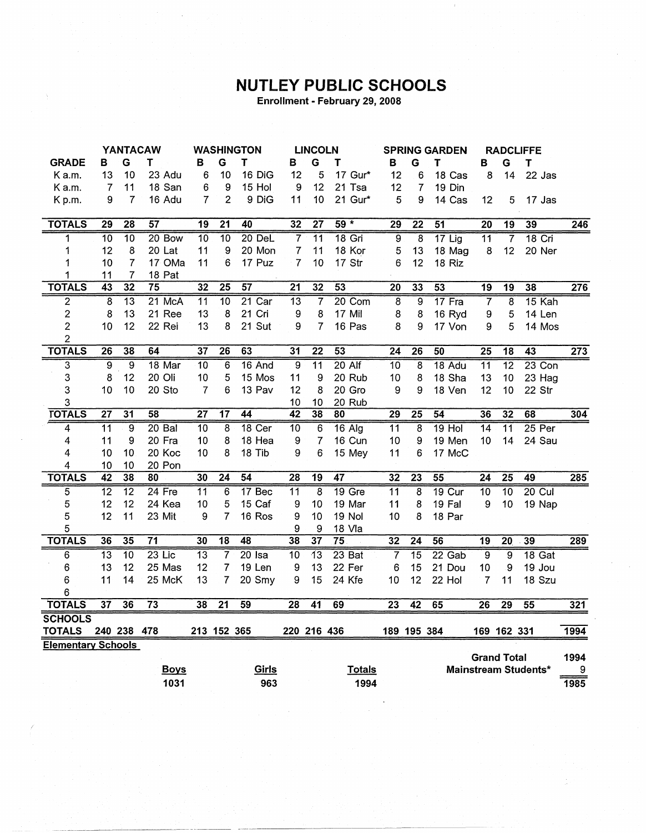## **NUTLEY PUBLIC SCHOOLS**

Enrollment - February 29, 2008

|                           | <b>YANTACAW</b> |                 | <b>WASHINGTON</b> |                 | <b>LINCOLN</b>  |                 | <b>SPRING GARDEN</b> |                 | <b>RADCLIFFE</b> |                 |                         |                 |                    |                 |                             |                  |
|---------------------------|-----------------|-----------------|-------------------|-----------------|-----------------|-----------------|----------------------|-----------------|------------------|-----------------|-------------------------|-----------------|--------------------|-----------------|-----------------------------|------------------|
| <b>GRADE</b>              | в               | G               | т                 | в               | G               | $\mathbf T$     | в                    | G               | т                | в               | G                       | Т               | B                  | G               | T                           |                  |
| K a.m.                    | 13              | 10              | 23 Adu            | 6               | 10              | 16 DiG          | 12                   | 5               | 17 Gur*          | 12              | 6                       | 18 Cas          | 8                  | 14              | 22 Jas                      |                  |
| K a.m.                    | 7               | 11              | 18 San            | 6               | 9               | 15 Hol          | 9                    | 12              | 21 Tsa           | 12              | 7                       | 19 Din          |                    |                 |                             |                  |
| Kp.m.                     | 9               | $\overline{7}$  | 16 Adu            | 7               | $\overline{2}$  | 9 DiG           | 11                   | 10              | 21 Gur*          | 5               | 9                       | 14 Cas          | 12                 | 5               | 17 Jas                      |                  |
|                           |                 |                 |                   |                 |                 |                 |                      |                 |                  |                 |                         |                 |                    |                 |                             |                  |
| <b>TOTALS</b>             | 29              | $\overline{28}$ | 57                | 19              | $\overline{21}$ | 40              | 32                   | $\overline{27}$ | $59*$            | $\overline{29}$ | $\overline{22}$         | 51              | $\overline{20}$    | $\overline{19}$ | 39                          | 246              |
| 1                         | $\overline{10}$ | $\overline{10}$ | 20 Bow            | $\overline{10}$ | $\overline{10}$ | 20 DeL          | $\overline{7}$       | $\overline{11}$ | 18 Gri           | $\overline{9}$  | $\overline{8}$          | $17$ Lig        | $\overline{11}$    | $\overline{7}$  | $18$ Cri                    |                  |
| 1                         | 12              | 8               | 20 Lat            | 11              | 9               | 20 Mon          | 7                    | 11              | 18 Kor           | 5               | 13                      | 18 Mag          | 8                  | 12              | 20 Ner                      |                  |
| 1                         | 10              | $\overline{7}$  | 17 OMa            | 11              | 6               | 17 Puz          | $\overline{7}$       | 10              | 17 Str           | 6               | 12                      | 18 Riz          |                    |                 |                             |                  |
| 1                         | 11              | 7               | 18 Pat            |                 |                 |                 |                      |                 |                  |                 |                         |                 |                    |                 |                             |                  |
| <b>TOTALS</b>             | $\overline{43}$ | $\overline{32}$ | 75                | $\overline{32}$ | $\overline{25}$ | $\overline{57}$ | $\overline{21}$      | 32              | 53               | $\overline{20}$ | 33                      | 53              | $\overline{19}$    | $\overline{19}$ | 38                          | $\overline{276}$ |
| $\overline{2}$            | $\overline{s}$  | $\overline{13}$ | 21 McA            | $\overline{11}$ | $\overline{10}$ | $21$ Car        | $\overline{13}$      | 7               | 20 Com           | $\overline{8}$  | $\overline{9}$          | 17 Fra          | 7                  | $\overline{8}$  | 15 Kah                      |                  |
| $\overline{2}$            | 8               | 13              | 21 Ree            | 13              | 8               | 21 Cri          | 9                    | 8               | 17 Mil           | 8               | 8                       | 16 Ryd          | 9                  | 5               | 14 Len                      |                  |
| $\overline{2}$            | 10              | 12              | 22 Rei            | 13              | 8               | 21 Sut          | 9                    | 7               | 16 Pas           | 8               | 9                       | 17 Von          | 9                  | 5               | 14 Mos                      |                  |
| $\overline{c}$            |                 |                 |                   |                 |                 |                 |                      |                 |                  |                 |                         |                 |                    |                 |                             |                  |
| <b>TOTALS</b>             | $\overline{26}$ | 38              | 64                | 37              | $\overline{26}$ | 63              | 31                   | $\overline{22}$ | $\overline{53}$  | $\overline{24}$ | $\overline{26}$         | 50              | $\overline{25}$    | $\overline{18}$ | 43                          | $\overline{273}$ |
| $\overline{3}$            | $\overline{9}$  | <u>ត</u>        | $18$ Mar          | $\overline{10}$ | $\overline{6}$  | 16 And          | $\overline{9}$       | $\overline{11}$ | $20$ Alf         | $\overline{10}$ | $\overline{\mathbf{8}}$ | 18 Adu          | $\overline{11}$    | $\overline{12}$ | $23$ Con                    |                  |
| 3                         | 8               | 12              | 20 Oli            | 10              | 5               | 15 Mos          | 11                   | 9               | 20 Rub           | 10              | 8                       | 18 Sha          | 13                 | 10              | 23 Hag                      |                  |
| 3                         | 10              | 10              | 20 Sto            | 7               | 6               | 13 Pav          | 12                   | 8               | 20 Gro           | 9               | 9                       | 18 Ven          | 12                 | 10              | 22 Str                      |                  |
| 3                         |                 |                 |                   |                 |                 |                 | 10                   | 10              | 20 Rub           |                 |                         |                 |                    |                 |                             |                  |
| <b>TOTALS</b>             | $\overline{27}$ | $\overline{31}$ | $\overline{58}$   | $\overline{27}$ | $\overline{17}$ | 44              | 42                   | 38              | $\overline{80}$  | 29              | $\overline{25}$         | $\overline{54}$ | 36                 | 32              | 68                          | 304              |
| 4                         | $\overline{11}$ | $\overline{9}$  | $20$ Bal          | 10              | $\overline{8}$  | 18 Cer          | $\overline{10}$      | 6               | $16$ Alg         | $\overline{11}$ | $\overline{8}$          | $19$ Hol        | $\overline{14}$    | $\overline{11}$ | $25$ Per                    |                  |
| 4                         | 11              | 9               | 20 Fra            | 10              | 8               | 18 Hea          | $\boldsymbol{9}$     | $\overline{7}$  | 16 Cun           | 10              | 9                       | 19 Men          | 10 <sub>1</sub>    | 14              | 24 Sau                      |                  |
| 4                         | 10              | 10              | 20 Koc            | 10              | 8               | 18 Tib          | 9                    | 6               | 15 Mey           | 11              | 6                       | 17 McC          |                    |                 |                             |                  |
| 4                         | 10              | 10              | 20 Pon            |                 |                 |                 |                      |                 |                  |                 |                         |                 |                    |                 |                             |                  |
| <b>TOTALS</b>             | 42              | 38              | 80                | 30              | $\overline{24}$ | 54              | $\overline{28}$      | $\overline{19}$ | 47               | 32              | $\overline{23}$         | 55              | $\overline{24}$    | $\overline{25}$ | 49                          | 285              |
| $\overline{5}$            | $\overline{12}$ | $\overline{12}$ | $24$ Fre          | $\overline{11}$ | $\overline{6}$  | 17 Bec          | $\overline{11}$      | $\overline{8}$  | $19$ Gre         | $\overline{11}$ | $\overline{8}$          | 19 Cur          | $\overline{10}$    | $\overline{10}$ | $20$ Cul                    |                  |
| 5                         | 12              | 12              | 24 Kea            | 10              | 5               | 15 Caf          | 9                    | 10              | 19 Mar           | 11              | 8                       | 19 Fal          | 9                  | 10              | 19 Nap                      |                  |
| 5                         | 12              | 11              | 23 Mit            | 9               | 7               | 16 Ros          | 9                    | 10              | <b>19 Nol</b>    | 10              | 8                       | 18 Par          |                    |                 |                             |                  |
| 5                         |                 |                 |                   |                 |                 |                 | 9                    | 9               | 18 Vla           |                 |                         |                 |                    |                 |                             |                  |
| <b>TOTALS</b>             | 36              | $\overline{35}$ | $\overline{71}$   | 30              | $\overline{18}$ | 48              | 38                   | $\overline{37}$ | $\overline{75}$  | 32              | $\overline{24}$         | 56              | $\overline{19}$    | $\overline{20}$ | 39                          | 289              |
| 6                         | $\overline{13}$ | $\overline{10}$ | $23$ Lic          | $\overline{13}$ | $\overline{7}$  | $20$ Isa        | $\overline{10}$      | $\overline{13}$ | 23 Bat           | 7               | $\overline{15}$         | $22$ Gab        | $\overline{9}$     | $\overline{9}$  | 18 Gat                      |                  |
| 6                         | 13              | 12              | 25 Mas            | 12              | 7               | 19 Len          | 9                    | 13              | 22 Fer           | 6               | 15                      | 21 Dou          | 10                 | 9               | 19 Jou                      |                  |
| 6                         | 11              | 14              | 25 McK            | 13              | 7               | 20 Smy          | 9                    | 15              | 24 Kfe           | 10              | 12                      | 22 Hol          | $\overline{7}$     | 11              | 18 Szu                      |                  |
| 6                         |                 |                 |                   |                 |                 |                 |                      |                 |                  |                 |                         |                 |                    |                 |                             |                  |
| <b>TOTALS</b>             | $\overline{37}$ | 36              | $\overline{73}$   | 38              | $\overline{21}$ | 59              | 28                   | 41              | 69               | $\overline{23}$ | 42                      | 65              | 26                 | $\overline{29}$ | $\overline{55}$             | 321              |
| <b>SCHOOLS</b>            |                 |                 |                   |                 |                 |                 |                      |                 |                  |                 |                         |                 |                    |                 |                             |                  |
| <b>TOTALS</b>             |                 | 240 238 478     |                   |                 | 213 152 365     |                 |                      | 220 216 436     |                  |                 | 189 195 384             |                 |                    | 169 162 331     |                             | 1994             |
| <b>Elementary Schools</b> |                 |                 |                   |                 |                 |                 |                      |                 |                  |                 |                         |                 |                    |                 |                             |                  |
|                           |                 |                 |                   |                 |                 |                 |                      |                 |                  |                 |                         |                 | <b>Grand Total</b> |                 |                             | 1994             |
|                           |                 |                 | <b>Boys</b>       |                 |                 | Girls           |                      |                 | <b>Totals</b>    |                 |                         |                 |                    |                 | <b>Mainstream Students*</b> | 9                |
|                           |                 |                 | 1031              |                 |                 | 963             |                      |                 | 1994             |                 |                         |                 |                    |                 |                             | 1985             |